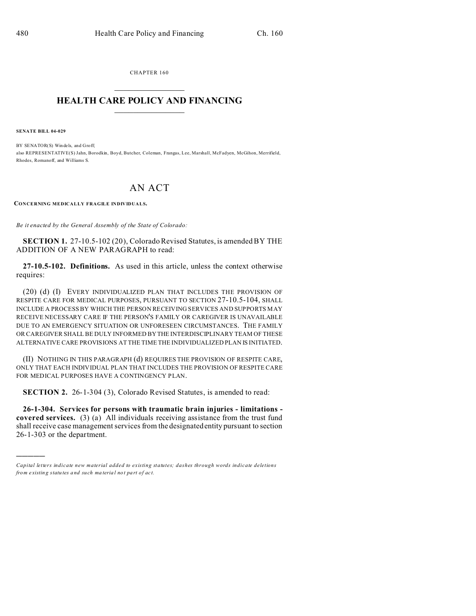CHAPTER 160  $\overline{\phantom{a}}$  , where  $\overline{\phantom{a}}$ 

## **HEALTH CARE POLICY AND FINANCING**  $\_$   $\_$   $\_$   $\_$   $\_$   $\_$   $\_$   $\_$

**SENATE BILL 04-029**

)))))

BY SENATOR(S) Win dels, and Groff; also REPRESENTATIVE(S) Jahn, Borodkin, Boyd, Butcher, Coleman, Frangas, Lee, Marshall, McFadyen, McGihon, Merrifield, Rhodes, Romanoff, and Williams S.

## AN ACT

**CONCERNING MEDICALLY FRAGILE INDIVIDUALS.**

*Be it enacted by the General Assembly of the State of Colorado:*

**SECTION 1.** 27-10.5-102 (20), Colorado Revised Statutes, is amended BY THE ADDITION OF A NEW PARAGRAPH to read:

**27-10.5-102. Definitions.** As used in this article, unless the context otherwise requires:

(20) (d) (I) EVERY INDIVIDUALIZED PLAN THAT INCLUDES THE PROVISION OF RESPITE CARE FOR MEDICAL PURPOSES, PURSUANT TO SECTION 27-10.5-104, SHALL INCLUDE A PROCESS BY WHICH THE PERSON RECEIVING SERVICES AND SUPPORTS MAY RECEIVE NECESSARY CARE IF THE PERSON'S FAMILY OR CAREGIVER IS UNAVAILABLE DUE TO AN EMERGENCY SITUATION OR UNFORESEEN CIRCUMSTANCES. THE FAMILY OR CAREGIVER SHALL BE DULY INFORMED BY THE INTERDISCIPLINARY TEAM OF THESE ALTERNATIVE CARE PROVISIONS AT THE TIME THE INDIVIDUALIZED PLAN IS INITIATED.

(II) NOTHING IN THIS PARAGRAPH (d) REQUIRES THE PROVISION OF RESPITE CARE, ONLY THAT EACH INDIVIDUAL PLAN THAT INCLUDES THE PROVISION OF RESPITE CARE FOR MEDICAL PURPOSES HAVE A CONTINGENCY PLAN.

**SECTION 2.** 26-1-304 (3), Colorado Revised Statutes, is amended to read:

**26-1-304. Services for persons with traumatic brain injuries - limitations covered services.** (3) (a) All individuals receiving assistance from the trust fund shall receive case management services from the designated entity pursuant to section 26-1-303 or the department.

*Capital letters indicate new material added to existing statutes; dashes through words indicate deletions from e xistin g statu tes a nd such ma teria l no t pa rt of ac t.*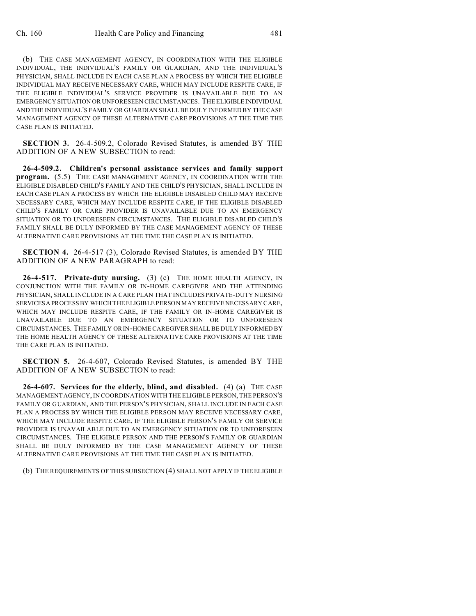(b) THE CASE MANAGEMENT AGENCY, IN COORDINATION WITH THE ELIGIBLE INDIVIDUAL, THE INDIVIDUAL'S FAMILY OR GUARDIAN, AND THE INDIVIDUAL'S PHYSICIAN, SHALL INCLUDE IN EACH CASE PLAN A PROCESS BY WHICH THE ELIGIBLE INDIVIDUAL MAY RECEIVE NECESSARY CARE, WHICH MAY INCLUDE RESPITE CARE, IF THE ELIGIBLE INDIVIDUAL'S SERVICE PROVIDER IS UNAVAILABLE DUE TO AN EMERGENCY SITUATION OR UNFORESEEN CIRCUMSTANCES. THE ELIGIBLEINDIVIDUAL AND THE INDIVIDUAL'S FAMILY OR GUARDIAN SHALL BE DULY INFORMED BY THE CASE MANAGEMENT AGENCY OF THESE ALTERNATIVE CARE PROVISIONS AT THE TIME THE CASE PLAN IS INITIATED.

**SECTION 3.** 26-4-509.2, Colorado Revised Statutes, is amended BY THE ADDITION OF A NEW SUBSECTION to read:

**26-4-509.2. Children's personal assistance services and family support program.** (5.5) THE CASE MANAGEMENT AGENCY, IN COORDINATION WITH THE ELIGIBLE DISABLED CHILD'S FAMILY AND THE CHILD'S PHYSICIAN, SHALL INCLUDE IN EACH CASE PLAN A PROCESS BY WHICH THE ELIGIBLE DISABLED CHILD MAY RECEIVE NECESSARY CARE, WHICH MAY INCLUDE RESPITE CARE, IF THE ELIGIBLE DISABLED CHILD'S FAMILY OR CARE PROVIDER IS UNAVAILABLE DUE TO AN EMERGENCY SITUATION OR TO UNFORESEEN CIRCUMSTANCES. THE ELIGIBLE DISABLED CHILD'S FAMILY SHALL BE DULY INFORMED BY THE CASE MANAGEMENT AGENCY OF THESE ALTERNATIVE CARE PROVISIONS AT THE TIME THE CASE PLAN IS INITIATED.

**SECTION 4.** 26-4-517 (3), Colorado Revised Statutes, is amended BY THE ADDITION OF A NEW PARAGRAPH to read:

**26-4-517. Private-duty nursing.** (3) (c) THE HOME HEALTH AGENCY, IN CONJUNCTION WITH THE FAMILY OR IN-HOME CAREGIVER AND THE ATTENDING PHYSICIAN, SHALL INCLUDE IN A CARE PLAN THAT INCLUDES PRIVATE-DUTY NURSING SERVICES A PROCESS BY WHICH THE ELIGIBLE PERSON MAY RECEIVE NECESSARY CARE, WHICH MAY INCLUDE RESPITE CARE, IF THE FAMILY OR IN-HOME CAREGIVER IS UNAVAILABLE DUE TO AN EMERGENCY SITUATION OR TO UNFORESEEN CIRCUMSTANCES. THE FAMILY OR IN-HOME CAREGIVER SHALL BE DULY INFORMED BY THE HOME HEALTH AGENCY OF THESE ALTERNATIVE CARE PROVISIONS AT THE TIME THE CARE PLAN IS INITIATED.

**SECTION 5.** 26-4-607, Colorado Revised Statutes, is amended BY THE ADDITION OF A NEW SUBSECTION to read:

**26-4-607. Services for the elderly, blind, and disabled.** (4) (a) THE CASE MANAGEMENT AGENCY, IN COORDINATION WITH THE ELIGIBLE PERSON, THE PERSON'S FAMILY OR GUARDIAN, AND THE PERSON'S PHYSICIAN, SHALL INCLUDE IN EACH CASE PLAN A PROCESS BY WHICH THE ELIGIBLE PERSON MAY RECEIVE NECESSARY CARE, WHICH MAY INCLUDE RESPITE CARE, IF THE ELIGIBLE PERSON'S FAMILY OR SERVICE PROVIDER IS UNAVAILABLE DUE TO AN EMERGENCY SITUATION OR TO UNFORESEEN CIRCUMSTANCES. THE ELIGIBLE PERSON AND THE PERSON'S FAMILY OR GUARDIAN SHALL BE DULY INFORMED BY THE CASE MANAGEMENT AGENCY OF THESE ALTERNATIVE CARE PROVISIONS AT THE TIME THE CASE PLAN IS INITIATED.

(b) THE REQUIREMENTS OF THIS SUBSECTION (4) SHALL NOT APPLY IF THE ELIGIBLE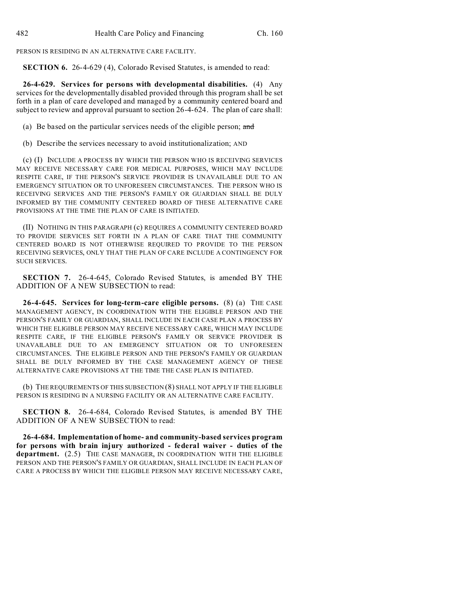PERSON IS RESIDING IN AN ALTERNATIVE CARE FACILITY.

**SECTION 6.** 26-4-629 (4), Colorado Revised Statutes, is amended to read:

**26-4-629. Services for persons with developmental disabilities.** (4) Any services for the developmentally disabled provided through this program shall be set forth in a plan of care developed and managed by a community centered board and subject to review and approval pursuant to section 26-4-624. The plan of care shall:

(a) Be based on the particular services needs of the eligible person; and

(b) Describe the services necessary to avoid institutionalization; AND

(c) (I) INCLUDE A PROCESS BY WHICH THE PERSON WHO IS RECEIVING SERVICES MAY RECEIVE NECESSARY CARE FOR MEDICAL PURPOSES, WHICH MAY INCLUDE RESPITE CARE, IF THE PERSON'S SERVICE PROVIDER IS UNAVAILABLE DUE TO AN EMERGENCY SITUATION OR TO UNFORESEEN CIRCUMSTANCES. THE PERSON WHO IS RECEIVING SERVICES AND THE PERSON'S FAMILY OR GUARDIAN SHALL BE DULY INFORMED BY THE COMMUNITY CENTERED BOARD OF THESE ALTERNATIVE CARE PROVISIONS AT THE TIME THE PLAN OF CARE IS INITIATED.

(II) NOTHING IN THIS PARAGRAPH (c) REQUIRES A COMMUNITY CENTERED BOARD TO PROVIDE SERVICES SET FORTH IN A PLAN OF CARE THAT THE COMMUNITY CENTERED BOARD IS NOT OTHERWISE REQUIRED TO PROVIDE TO THE PERSON RECEIVING SERVICES, ONLY THAT THE PLAN OF CARE INCLUDE A CONTINGENCY FOR SUCH SERVICES.

**SECTION 7.** 26-4-645, Colorado Revised Statutes, is amended BY THE ADDITION OF A NEW SUBSECTION to read:

**26-4-645. Services for long-term-care eligible persons.** (8) (a) THE CASE MANAGEMENT AGENCY, IN COORDINATION WITH THE ELIGIBLE PERSON AND THE PERSON'S FAMILY OR GUARDIAN, SHALL INCLUDE IN EACH CASE PLAN A PROCESS BY WHICH THE ELIGIBLE PERSON MAY RECEIVE NECESSARY CARE, WHICH MAY INCLUDE RESPITE CARE, IF THE ELIGIBLE PERSON'S FAMILY OR SERVICE PROVIDER IS UNAVAILABLE DUE TO AN EMERGENCY SITUATION OR TO UNFORESEEN CIRCUMSTANCES. THE ELIGIBLE PERSON AND THE PERSON'S FAMILY OR GUARDIAN SHALL BE DULY INFORMED BY THE CASE MANAGEMENT AGENCY OF THESE ALTERNATIVE CARE PROVISIONS AT THE TIME THE CASE PLAN IS INITIATED.

(b) THE REQUIREMENTS OF THIS SUBSECTION (8) SHALL NOT APPLY IF THE ELIGIBLE PERSON IS RESIDING IN A NURSING FACILITY OR AN ALTERNATIVE CARE FACILITY.

**SECTION 8.** 26-4-684, Colorado Revised Statutes, is amended BY THE ADDITION OF A NEW SUBSECTION to read:

**26-4-684. Implementation of home- and community-based services program for persons with brain injury authorized - federal waiver - duties of the department.** (2.5) THE CASE MANAGER, IN COORDINATION WITH THE ELIGIBLE PERSON AND THE PERSON'S FAMILY OR GUARDIAN, SHALL INCLUDE IN EACH PLAN OF CARE A PROCESS BY WHICH THE ELIGIBLE PERSON MAY RECEIVE NECESSARY CARE,